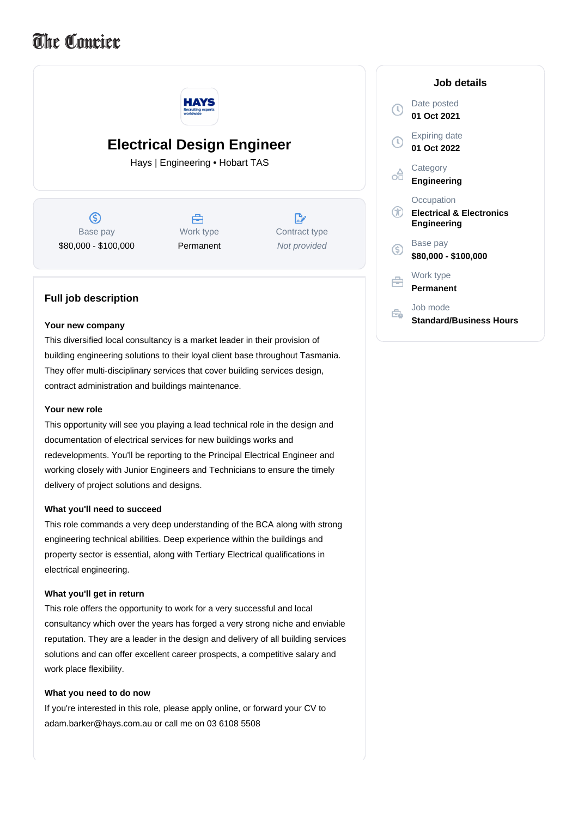# The Coucier



## **Your new company**

This diversified local consultancy is a market leader in their provision of building engineering solutions to their loyal client base throughout Tasmania. They offer multi-disciplinary services that cover building services design, contract administration and buildings maintenance.

### **Your new role**

This opportunity will see you playing a lead technical role in the design and documentation of electrical services for new buildings works and redevelopments. You'll be reporting to the Principal Electrical Engineer and working closely with Junior Engineers and Technicians to ensure the timely delivery of project solutions and designs.

#### **What you'll need to succeed**

This role commands a very deep understanding of the BCA along with strong engineering technical abilities. Deep experience within the buildings and property sector is essential, along with Tertiary Electrical qualifications in electrical engineering.

#### **What you'll get in return**

This role offers the opportunity to work for a very successful and local consultancy which over the years has forged a very strong niche and enviable reputation. They are a leader in the design and delivery of all building services solutions and can offer excellent career prospects, a competitive salary and work place flexibility.

#### **What you need to do now**

If you're interested in this role, please apply online, or forward your CV to adam.barker@hays.com.au or call me on 03 6108 5508

| Job details                                                             |
|-------------------------------------------------------------------------|
| Date posted<br>01 Oct 2021                                              |
| Expiring date<br>01 Oct 2022                                            |
| Category<br><b>Engineering</b>                                          |
| Occupation<br><b>Electrical &amp; Electronics</b><br><b>Engineering</b> |
| Base pay<br>\$80,000 - \$100,000                                        |
| Work type<br>Permanent                                                  |
| Job mode<br><b>Standard/Business Hours</b>                              |